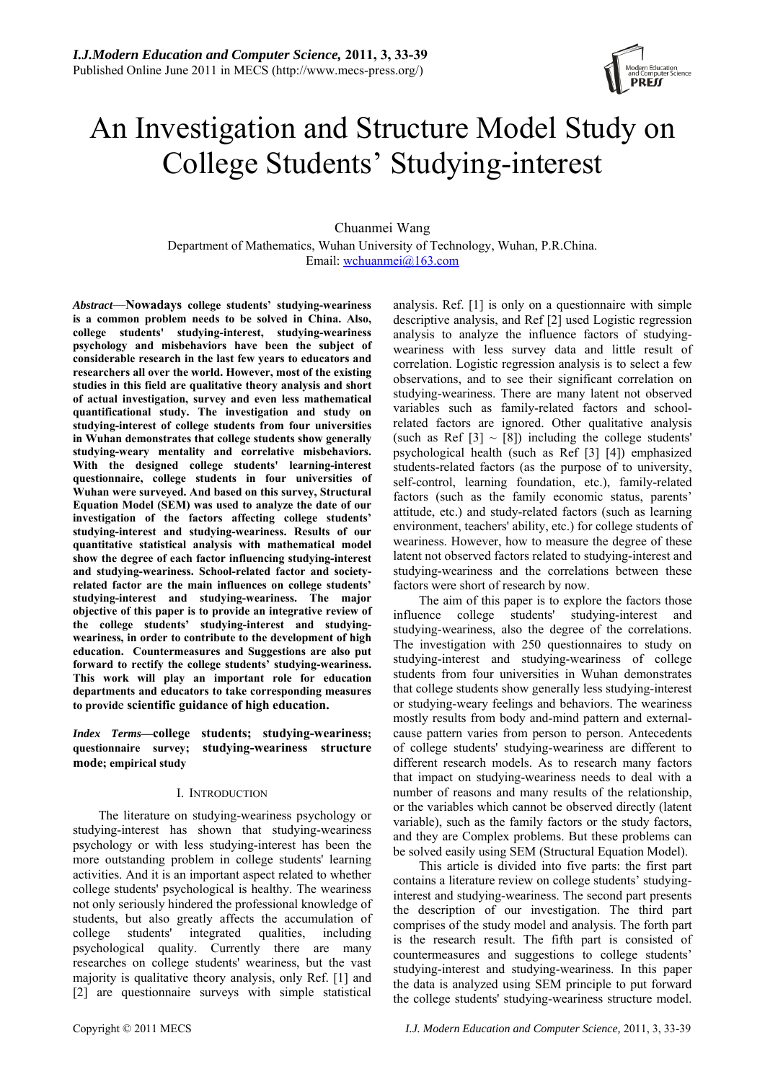

# An Investigation and Structure Model Study on College Students' Studying-interest

Chuanmei Wang

Department of Mathematics, Wuhan University of Technology, Wuhan, P.R.China. Email: wchuanmei@163.com

*Abstract*—**Nowadays college students' studying-weariness is a common problem needs to be solved in China. Also, college students' studying-interest, studying-weariness psychology and misbehaviors have been the subject of considerable research in the last few years to educators and researchers all over the world. However, most of the existing studies in this field are qualitative theory analysis and short of actual investigation, survey and even less mathematical quantificational study. The investigation and study on studying-interest of college students from four universities in Wuhan demonstrates that college students show generally studying-weary mentality and correlative misbehaviors. With the designed college students' learning-interest questionnaire, college students in four universities of Wuhan were surveyed. And based on this survey, Structural Equation Model (SEM) was used to analyze the date of our investigation of the factors affecting college students' studying-interest and studying-weariness. Results of our quantitative statistical analysis with mathematical model show the degree of each factor influencing studying-interest and studying-weariness. School-related factor and societyrelated factor are the main influences on college students' studying-interest and studying-weariness. The major objective of this paper is to provide an integrative review of the college students' studying-interest and studyingweariness, in order to contribute to the development of high education. Countermeasures and Suggestions are also put forward to rectify the college students' studying-weariness. This work will play an important role for education departments and educators to take corresponding measures to provid**e **scientific guidance of high education.** 

*Index Terms***—college students; studying-weariness; questionnaire survey; studying-weariness structure mode; empirical study** 

# I. INTRODUCTION

The literature on studying-weariness psychology or studying-interest has shown that studying-weariness psychology or with less studying-interest has been the more outstanding problem in college students' learning activities. And it is an important aspect related to whether college students' psychological is healthy. The weariness not only seriously hindered the professional knowledge of students, but also greatly affects the accumulation of college students' integrated qualities, including psychological quality. Currently there are many researches on college students' weariness, but the vast majority is qualitative theory analysis, only Ref. [1] and [2] are questionnaire surveys with simple statistical analysis. Ref. [1] is only on a questionnaire with simple descriptive analysis, and Ref [2] used Logistic regression analysis to analyze the influence factors of studyingweariness with less survey data and little result of correlation. Logistic regression analysis is to select a few observations, and to see their significant correlation on studying-weariness. There are many latent not observed variables such as family-related factors and schoolrelated factors are ignored. Other qualitative analysis (such as Ref  $[3] \sim [8]$ ) including the college students' psychological health (such as Ref [3] [4]) emphasized students-related factors (as the purpose of to university, self-control, learning foundation, etc.), family-related factors (such as the family economic status, parents' attitude, etc.) and study-related factors (such as learning environment, teachers' ability, etc.) for college students of weariness. However, how to measure the degree of these latent not observed factors related to studying-interest and studying-weariness and the correlations between these factors were short of research by now.

The aim of this paper is to explore the factors those influence college students' studying-interest and studying-weariness, also the degree of the correlations. The investigation with 250 questionnaires to study on studying-interest and studying-weariness of college students from four universities in Wuhan demonstrates that college students show generally less studying-interest or studying-weary feelings and behaviors. The weariness mostly results from body and-mind pattern and externalcause pattern varies from person to person. Antecedents of college students' studying-weariness are different to different research models. As to research many factors that impact on studying-weariness needs to deal with a number of reasons and many results of the relationship, or the variables which cannot be observed directly (latent variable), such as the family factors or the study factors, and they are Complex problems. But these problems can be solved easily using SEM (Structural Equation Model).

This article is divided into five parts: the first part contains a literature review on college students' studyinginterest and studying-weariness. The second part presents the description of our investigation. The third part comprises of the study model and analysis. The forth part is the research result. The fifth part is consisted of countermeasures and suggestions to college students' studying-interest and studying-weariness. In this paper the data is analyzed using SEM principle to put forward the college students' studying-weariness structure model.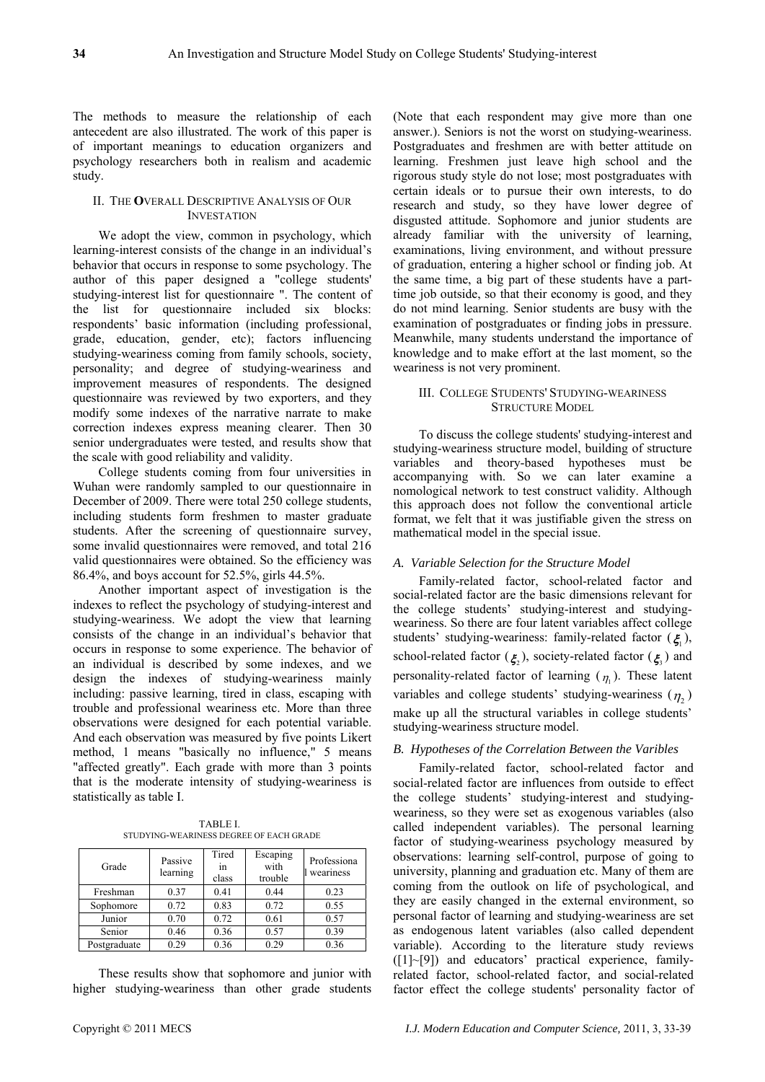The methods to measure the relationship of each antecedent are also illustrated. The work of this paper is of important meanings to education organizers and psychology researchers both in realism and academic study.

# II. THE **O**VERALL DESCRIPTIVE ANALYSIS OF OUR **INVESTATION**

We adopt the view, common in psychology, which learning-interest consists of the change in an individual's behavior that occurs in response to some psychology. The author of this paper designed a "college students' studying-interest list for questionnaire ". The content of the list for questionnaire included six blocks: respondents' basic information (including professional, grade, education, gender, etc); factors influencing studying-weariness coming from family schools, society, personality; and degree of studying-weariness and improvement measures of respondents. The designed questionnaire was reviewed by two exporters, and they modify some indexes of the narrative narrate to make correction indexes express meaning clearer. Then 30 senior undergraduates were tested, and results show that the scale with good reliability and validity.

College students coming from four universities in Wuhan were randomly sampled to our questionnaire in December of 2009. There were total 250 college students. including students form freshmen to master graduate students. After the screening of questionnaire survey, some invalid questionnaires were removed, and total 216 valid questionnaires were obtained. So the efficiency was 86.4%, and boys account for 52.5%, girls 44.5%.

Another important aspect of investigation is the indexes to reflect the psychology of studying-interest and studying-weariness. We adopt the view that learning consists of the change in an individual's behavior that occurs in response to some experience. The behavior of an individual is described by some indexes, and we design the indexes of studying-weariness mainly including: passive learning, tired in class, escaping with trouble and professional weariness etc. More than three observations were designed for each potential variable. And each observation was measured by five points Likert method, 1 means "basically no influence," 5 means "affected greatly". Each grade with more than 3 points that is the moderate intensity of studying-weariness is statistically as table I.

TABLE I. STUDYING-WEARINESS DEGREE OF EACH GRADE

| Grade        | Passive<br>learning | Tired<br>1n<br>class | Escaping<br>with<br>trouble | Professiona<br>weariness |
|--------------|---------------------|----------------------|-----------------------------|--------------------------|
| Freshman     | 0.37                | 0.41                 | 0.44                        | 0.23                     |
| Sophomore    | 0.72                | 0.83                 | 0.72                        | 0.55                     |
| Junior       | 0.70                | 0.72                 | 0.61                        | 0.57                     |
| Senior       | 0.46                | 0.36                 | 0.57                        | 0.39                     |
| Postgraduate | 0.29                | 0.36                 | 0.29                        | 0.36                     |

These results show that sophomore and junior with higher studying-weariness than other grade students

(Note that each respondent may give more than one answer.). Seniors is not the worst on studying-weariness. Postgraduates and freshmen are with better attitude on learning. Freshmen just leave high school and the rigorous study style do not lose; most postgraduates with certain ideals or to pursue their own interests, to do research and study, so they have lower degree of disgusted attitude. Sophomore and junior students are already familiar with the university of learning, examinations, living environment, and without pressure of graduation, entering a higher school or finding job. At the same time, a big part of these students have a parttime job outside, so that their economy is good, and they do not mind learning. Senior students are busy with the examination of postgraduates or finding jobs in pressure. Meanwhile, many students understand the importance of knowledge and to make effort at the last moment, so the weariness is not very prominent.

# III. COLLEGE STUDENTS' STUDYING-WEARINESS STRUCTURE MODEL

To discuss the college students' studying-interest and studying-weariness structure model, building of structure variables and theory-based hypotheses must be accompanying with. So we can later examine a nomological network to test construct validity. Although this approach does not follow the conventional article format, we felt that it was justifiable given the stress on mathematical model in the special issue.

# *A. Variable Selection for the Structure Model*

Family-related factor, school-related factor and social-related factor are the basic dimensions relevant for the college students' studying-interest and studyingweariness. So there are four latent variables affect college students' studying-weariness: family-related factor  $(\xi)$ , school-related factor ( $\xi$ ), society-related factor ( $\xi$ ) and personality-related factor of learning  $(\eta_1)$ . These latent variables and college students' studying-weariness  $(\eta_2)$ make up all the structural variables in college students' studying-weariness structure model.

# *B. Hypotheses of the Correlation Between the Varibles*

Family-related factor, school-related factor and social-related factor are influences from outside to effect the college students' studying-interest and studyingweariness, so they were set as exogenous variables (also called independent variables). The personal learning factor of studying-weariness psychology measured by observations: learning self-control, purpose of going to university, planning and graduation etc. Many of them are coming from the outlook on life of psychological, and they are easily changed in the external environment, so personal factor of learning and studying-weariness are set as endogenous latent variables (also called dependent variable). According to the literature study reviews ([1]~[9]) and educators' practical experience, familyrelated factor, school-related factor, and social-related factor effect the college students' personality factor of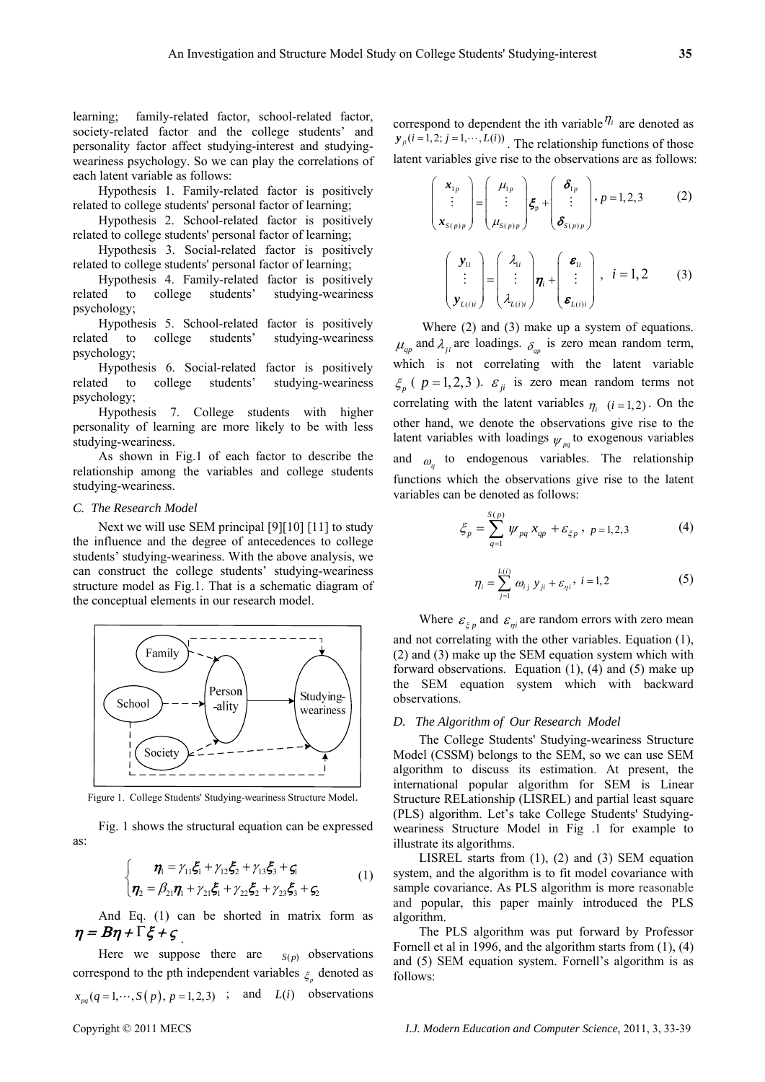learning; family-related factor, school-related factor, society-related factor and the college students' and personality factor affect studying-interest and studyingweariness psychology. So we can play the correlations of each latent variable as follows:

Hypothesis 1. Family-related factor is positively related to college students' personal factor of learning;

Hypothesis 2. School-related factor is positively related to college students' personal factor of learning;

Hypothesis 3. Social-related factor is positively related to college students' personal factor of learning;

Hypothesis 4. Family-related factor is positively related to college students' studying-weariness psychology;

Hypothesis 5. School-related factor is positively related to college students' studying-weariness psychology;

Hypothesis 6. Social-related factor is positively related to college students' studying-weariness psychology;

Hypothesis 7. College students with higher personality of learning are more likely to be with less studying-weariness.

As shown in Fig.1 of each factor to describe the relationship among the variables and college students studying-weariness.

#### *C. The Research Model*

Next we will use SEM principal [9][10] [11] to study the influence and the degree of antecedences to college students' studying-weariness. With the above analysis, we can construct the college students' studying-weariness structure model as Fig.1. That is a schematic diagram of the conceptual elements in our research model.



Figure 1. College Students' Studying-weariness Structure Model.

Fig. 1 shows the structural equation can be expressed as:

$$
\begin{cases}\n\eta_1 = \gamma_{11}\xi_1 + \gamma_{12}\xi_2 + \gamma_{13}\xi_3 + \zeta_1 \\
\eta_2 = \beta_{21}\eta_1 + \gamma_{21}\xi_1 + \gamma_{22}\xi_2 + \gamma_{23}\xi_3 + \zeta_2\n\end{cases} (1)
$$

And Eq. (1) can be shorted in matrix form as  $\eta = B\eta + \Gamma \xi + \varsigma$ 

Here we suppose there are  $S(p)$  observations correspond to the pth independent variables  $\zeta$  denoted as  $x_{pq}$  ( $q = 1, \dots, S(p)$ ,  $p = 1,2,3$ ) ; and  $L(i)$  observations correspond to dependent the ith variable  $\eta$ <sup>*i*</sup> are denoted as  $\mathbf{y}_{ji}$  ( $i = 1, 2; j = 1, \dots, L(i)$ ). The relationship functions of those latent variables give rise to the observations are as follows:

$$
\begin{pmatrix} \mathbf{x}_{1p} \\ \vdots \\ \mathbf{x}_{S(p)p} \end{pmatrix} = \begin{pmatrix} \mu_{1p} \\ \vdots \\ \mu_{S(p)p} \end{pmatrix} \xi_p + \begin{pmatrix} \delta_{1p} \\ \vdots \\ \delta_{S(p)p} \end{pmatrix}, p = 1, 2, 3 \tag{2}
$$

$$
\begin{pmatrix} \mathbf{y}_{1i} \\ \vdots \\ \mathbf{y}_{L(i)i} \end{pmatrix} = \begin{pmatrix} \lambda_{1i} \\ \vdots \\ \lambda_{L(i)i} \end{pmatrix} \boldsymbol{\eta}_i + \begin{pmatrix} \boldsymbol{\varepsilon}_{1i} \\ \vdots \\ \boldsymbol{\varepsilon}_{L(i)i} \end{pmatrix}, \quad i = 1, 2 \quad (3)
$$

 Where (2) and (3) make up a system of equations.  $\mu_{ap}$  and  $\lambda_{ji}$  are loadings.  $\delta_{ap}$  is zero mean random term, which is not correlating with the latent variable  $\xi_n$  (  $p = 1, 2, 3$  ).  $\varepsilon_{ii}$  is zero mean random terms not correlating with the latent variables  $\eta_i$  (*i* = 1, 2). On the other hand, we denote the observations give rise to the latent variables with loadings  $\psi_{pq}$  to exogenous variables and  $\omega_{ij}$  to endogenous variables. The relationship functions which the observations give rise to the latent variables can be denoted as follows:

$$
\xi_p = \sum_{q=1}^{S(p)} \psi_{pq} x_{qp} + \varepsilon_{\xi_p}, \ p = 1, 2, 3 \tag{4}
$$

$$
\eta_i = \sum_{j=1}^{L(i)} \omega_{ij} y_{ji} + \varepsilon_{\eta i}, \ i = 1, 2 \tag{5}
$$

Where  $\varepsilon_{\xi_p}$  and  $\varepsilon_{\eta i}$  are random errors with zero mean and not correlating with the other variables. Equation (1), (2) and (3) make up the SEM equation system which with forward observations. Equation (1), (4) and (5) make up the SEM equation system which with backward observations.

#### *D. The Algorithm of Our Research Model*

The College Students' Studying-weariness Structure Model (CSSM) belongs to the SEM, so we can use SEM algorithm to discuss its estimation. At present, the international popular algorithm for SEM is Linear Structure RELationship (LISREL) and partial least square (PLS) algorithm. Let's take College Students' Studyingweariness Structure Model in Fig .1 for example to illustrate its algorithms.

LISREL starts from (1), (2) and (3) SEM equation system, and the algorithm is to fit model covariance with sample covariance. As PLS algorithm is more reasonable and popular, this paper mainly introduced the PLS algorithm.

The PLS algorithm was put forward by Professor Fornell et al in 1996, and the algorithm starts from (1), (4) and (5) SEM equation system. Fornell's algorithm is as follows: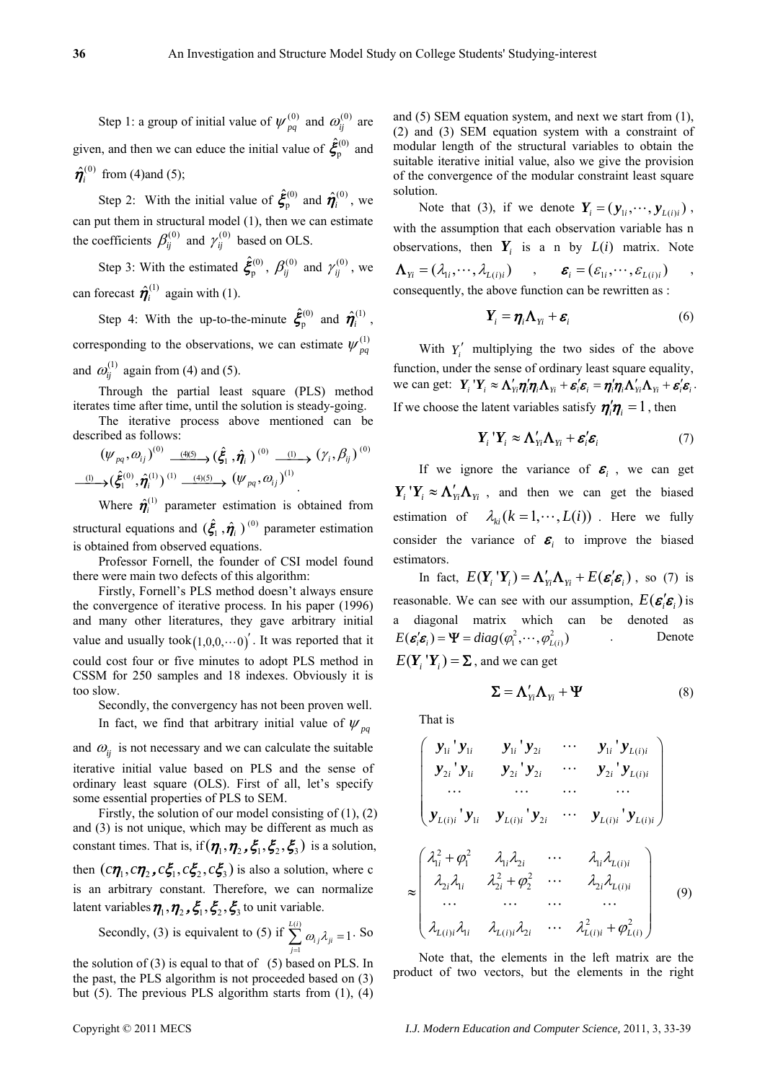Step 1: a group of initial value of  $\psi_{pa}^{(0)}$  and  $\omega_{ii}^{(0)}$  are given, and then we can educe the initial value of  $\hat{\xi}_{\rm p}^{\rm (0)}$  and  $\hat{\eta}^{(0)}_i$  from (4)and (5);

Step 2: With the initial value of  $\hat{\xi}_{\rm p}^{(0)}$  and  $\hat{\eta}_i^{(0)}$ , we can put them in structural model (1), then we can estimate the coefficients  $\beta_{ij}^{(0)}$  and  $\gamma_{ij}^{(0)}$  based on OLS.

Step 3: With the estimated  $\hat{\xi}_p^{(0)}$ ,  $\beta_{ij}^{(0)}$  and  $\gamma_{ij}^{(0)}$ , we can forecast  $\hat{\eta}_i^{(1)}$  again with (1).

Step 4: With the up-to-the-minute  $\hat{\xi}_p^{(0)}$  and  $\hat{\eta}_i^{(1)}$ , corresponding to the observations, we can estimate  $\psi_{pa}^{(1)}$ and  $\omega_{ii}^{(1)}$  again from (4) and (5).

Through the partial least square (PLS) method iterates time after time, until the solution is steady-going.

The iterative process above mentioned can be described as follows:

$$
(\psi_{pq}, \omega_{ij})^{(0)} \xrightarrow{(\mathbf{i}(0), \mathbf{j}(0))} (\hat{\xi}_1, \hat{\eta}_i)^{(0)} \xrightarrow{(\mathbf{i})} (\gamma_i, \beta_{ij})^{(0)}
$$
  

$$
\xrightarrow{(\mathbf{i})} (\hat{\xi}_1^{(0)}, \hat{\eta}_i^{(1)})^{(\mathbf{i})} \xrightarrow{(\mathbf{i}(0), \mathbf{j})} (\psi_{pq}, \omega_{ij})^{(\mathbf{i})}.
$$

Where  $\hat{\eta}^{(1)}_i$  parameter estimation is obtained from structural equations and  $(\hat{\xi}_1, \hat{\eta}_i)^{(0)}$  parameter estimation is obtained from observed equations.

Professor Fornell, the founder of CSI model found there were main two defects of this algorithm:

Firstly, Fornell's PLS method doesn't always ensure the convergence of iterative process. In his paper (1996) and many other literatures, they gave arbitrary initial value and usually took $(1,0,0,\dots,0)'$ . It was reported that it could cost four or five minutes to adopt PLS method in CSSM for 250 samples and 18 indexes. Obviously it is too slow.

Secondly, the convergency has not been proven well. In fact, we find that arbitrary initial value of  $\psi_{pa}$ 

and  $\omega_{ij}$  is not necessary and we can calculate the suitable iterative initial value based on PLS and the sense of ordinary least square (OLS). First of all, let's specify some essential properties of PLS to SEM.

Firstly, the solution of our model consisting of  $(1)$ ,  $(2)$ and (3) is not unique, which may be different as much as constant times. That is, if  $(\eta_1, \eta_2, \xi_1, \xi_2, \xi_3)$  is a solution, then  $(c\eta_1, c\eta_2, c\xi_1, c\xi_2, c\xi_3)$  is also a solution, where c is an arbitrary constant. Therefore, we can normalize latent variables  $\eta_1$ ,  $\eta_2$ ,  $\xi_1$ ,  $\xi_2$ ,  $\xi_3$  to unit variable.

Secondly, (3) is equivalent to (5) if 
$$
\sum_{j=1}^{L(i)} \omega_{ij} \lambda_{ji} = 1
$$
. So

the solution of  $(3)$  is equal to that of  $(5)$  based on PLS. In the past, the PLS algorithm is not proceeded based on (3) but (5). The previous PLS algorithm starts from (1), (4) and (5) SEM equation system, and next we start from (1), (2) and (3) SEM equation system with a constraint of modular length of the structural variables to obtain the suitable iterative initial value, also we give the provision of the convergence of the modular constraint least square solution.

Note that (3), if we denote  $Y_i = (\mathbf{y}_{i_i}, \dots, \mathbf{y}_{L(i)i})$ , with the assumption that each observation variable has n observations, then  $Y_i$  is a n by  $L(i)$  matrix. Note  $\Lambda_{Y_i} = (\lambda_{i}, \cdots, \lambda_{L(i)i})$ ,  $\varepsilon_i = (\varepsilon_{i}, \cdots, \varepsilon_{L(i)i})$ consequently, the above function can be rewritten as :

$$
\boldsymbol{Y}_i = \boldsymbol{\eta}_i \boldsymbol{\Lambda}_{Yi} + \boldsymbol{\varepsilon}_i \tag{6}
$$

With  $Y_i'$  multiplying the two sides of the above function, under the sense of ordinary least square equality, we can get:  $Y_i' Y_i \approx \Lambda'_{Y_i} \eta'_i \eta_i \Lambda_{Y_i} + \varepsilon'_i \varepsilon_i = \eta'_i \eta_i \Lambda'_{Y_i} \Lambda_{Y_i} + \varepsilon'_i \varepsilon_i$ If we choose the latent variables satisfy  $\eta'_i \eta_i = 1$ , then

$$
\boldsymbol{Y}_{i}^{\top} \boldsymbol{Y}_{i} \approx \boldsymbol{\Lambda}_{Yi}^{\prime} \boldsymbol{\Lambda}_{Yi} + \boldsymbol{\varepsilon}_{i}^{\prime} \boldsymbol{\varepsilon}_{i} \tag{7}
$$

If we ignore the variance of  $\epsilon$  , we can get  $Y_i' Y_i \approx \Lambda'_{Y_i} \Lambda_{Y_i}$ , and then we can get the biased estimation of  $\lambda_{ki}$   $(k = 1, \dots, L(i))$ . Here we fully consider the variance of  $\epsilon$  to improve the biased estimators.

In fact,  $E(Y_i'Y_i) = \Lambda'_{Y_i} \Lambda_{Y_i} + E(\varepsilon'_{i} \varepsilon_{i})$ , so (7) is reasonable. We can see with our assumption,  $E(\boldsymbol{\varepsilon}'_{\epsilon}, \boldsymbol{\varepsilon})$  is a diagonal matrix which can be denoted as  $E(\boldsymbol{\varepsilon}^2 \boldsymbol{\varepsilon}) = \boldsymbol{\Psi} = diag(\varphi_1^2, \dots, \varphi_{\varepsilon(\cdot)}^2)$  Denote  $E(\boldsymbol{\varepsilon}_i^{\prime} \boldsymbol{\varepsilon}_i) = \boldsymbol{\Psi} = diag(\varphi_1^2, \cdots, \varphi_{L(i)}^2)$  $E(Y_i | Y_i) = \Sigma$ , and we can get

$$
\Sigma = \Lambda'_{Y_i} \Lambda_{Y_i} + \Psi \tag{8}
$$

That is

$$
\begin{pmatrix}\n\mathbf{y}_{1i} \mathbf{y}_{1i} & \mathbf{y}_{1i} \mathbf{y}_{2i} & \cdots & \mathbf{y}_{1i} \mathbf{y}_{L(i)i} \\
\mathbf{y}_{2i} \mathbf{y}_{1i} & \mathbf{y}_{2i} \mathbf{y}_{2i} & \cdots & \mathbf{y}_{2i} \mathbf{y}_{L(i)i} \\
\cdots & \cdots & \cdots & \cdots \\
\mathbf{y}_{L(i)i} \mathbf{y}_{1i} & \mathbf{y}_{L(i)i} \mathbf{y}_{2i} & \cdots & \mathbf{y}_{L(i)i} \mathbf{y}_{L(i)i}\n\end{pmatrix}
$$
\n
$$
\approx \begin{pmatrix}\n\lambda_{1i}^2 + \varphi_1^2 & \lambda_{1i}\lambda_{2i} & \cdots & \lambda_{1i}\lambda_{L(i)i} \\
\lambda_{2i}\lambda_{1i} & \lambda_{2i}^2 + \varphi_2^2 & \cdots & \lambda_{2i}\lambda_{L(i)i} \\
\cdots & \cdots & \cdots & \cdots \\
\lambda_{L(i)i}\lambda_{1i} & \lambda_{L(i)i}\lambda_{2i} & \cdots & \lambda_{L(i)i}^2 + \varphi_{L(i)}^2\n\end{pmatrix}
$$
\n(9)

Note that, the elements in the left matrix are the product of two vectors, but the elements in the right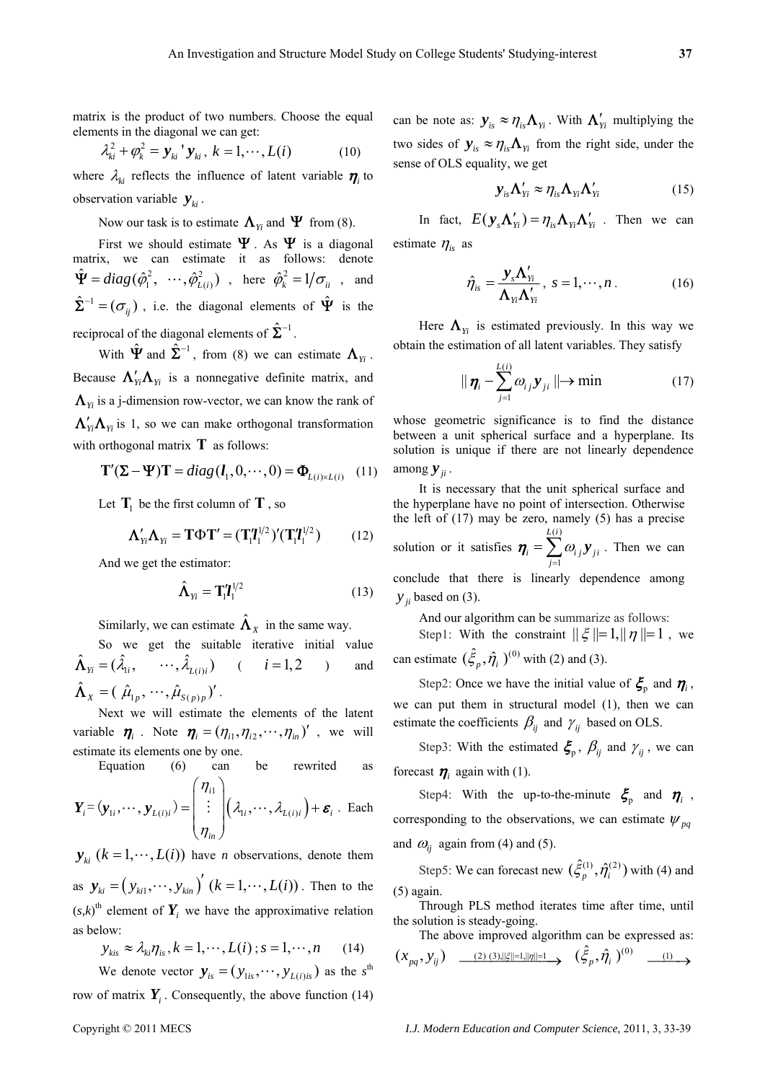matrix is the product of two numbers. Choose the equal elements in the diagonal we can get:

$$
\lambda_{ki}^2 + \varphi_k^2 = \mathbf{y}_{ki} \, ^{\mathsf{T}} \mathbf{y}_{ki}, \, k = 1, \cdots, L(i) \tag{10}
$$

where  $\lambda_{ki}$  reflects the influence of latent variable  $\eta_i$  to observation variable  $y_{ki}$ .

# Now our task is to estimate  $\Lambda_{y_i}$  and  $\Psi$  from (8).

First we should estimate  $\Psi$ . As  $\Psi$  is a diagonal matrix, we can estimate it as follows: denote  $\hat{\mathbf{\Psi}} = diag(\hat{\varphi}_1^2, \cdots, \hat{\varphi}_{L(i)}^2)$ , here  $\hat{\varphi}_k^2 = 1/\sigma_{ii}$ , and  $\hat{\Sigma}^{-1} = (\sigma_{ij})$ , i.e. the diagonal elements of  $\hat{\Psi}$  is the reciprocal of the diagonal elements of  $\hat{\Sigma}^{-1}$ .

With  $\hat{\mathbf{\Psi}}$  and  $\hat{\mathbf{\Sigma}}^{-1}$ , from (8) we can estimate  $\mathbf{\Lambda}_{y_i}$ . Because  $\Lambda'_{Y_i} \Lambda_{Y_i}$  is a nonnegative definite matrix, and  $\Lambda_{y_i}$  is a j-dimension row-vector, we can know the rank of  $\Lambda_{Y_i}^{\prime} \Lambda_{Y_i}$  is 1, so we can make orthogonal transformation with orthogonal matrix **T** as follows:

$$
\mathbf{T}'(\mathbf{\Sigma} - \mathbf{\Psi})\mathbf{T} = diag(\mathbf{l}_1, 0, \cdots, 0) = \mathbf{\Phi}_{L(i) \times L(i)} \quad (11)
$$

Let  $\mathbf{T}_1$  be the first column of  $\mathbf{T}$ , so

$$
\Lambda'_{Yi}\Lambda_{Yi} = \mathbf{T}\Phi\mathbf{T}' = (\mathbf{T}'_i\mathbf{I}'_i)^2)'(\mathbf{T}'_i\mathbf{I}'_i)^2)
$$
 (12)

And we get the estimator:

$$
\hat{\Lambda}_{Yi} = \mathbf{T}_{i}^{\prime} \mathbf{Z}_{1}^{1/2} \tag{13}
$$

Similarly, we can estimate  $\hat{\Lambda}_x$  in the same way.

So we get the suitable iterative initial value  $\hat{\mathbf{\Lambda}}_{Yi} = (\hat{\lambda}_{1i}, \quad \cdots, \hat{\lambda}_{L(i)i})$  (  $i = 1, 2$  ) and  $\hat{\mathbf{\Lambda}}_{\mathbf{x}} = (\hat{\mu}_{1p}, \cdots, \hat{\mu}_{S(p)p})'$ .

Next we will estimate the elements of the latent variable  $\eta_i$ . Note  $\eta_i = (\eta_{i1}, \eta_{i2}, \cdots, \eta_{in})'$ , we will estimate its elements one by one.

Equation (6) can be rewrited as

$$
\boldsymbol{Y}_i = (\mathbf{y}_{1i}, \cdots, \mathbf{y}_{L(i)i}) = \begin{pmatrix} \eta_{i1} \\ \vdots \\ \eta_{in} \end{pmatrix} (\lambda_{1i}, \cdots, \lambda_{L(i)i}) + \boldsymbol{\varepsilon}_i
$$
. Each

 $\mathbf{y}_{ki}$   $(k = 1, \dots, L(i))$  have *n* observations, denote them as  ${\bf y}_{ki} = ( y_{ki1}, \dots, y_{kin} )'$   $(k = 1, \dots, L(i))$ . Then to the  $(s,k)$ <sup>th</sup> element of  $Y_i$  we have the approximative relation as below:

$$
y_{kis} \approx \lambda_{ki} \eta_{is}, k = 1, \cdots, L(i); s = 1, \cdots, n \qquad (14)
$$

We denote vector  $\mathbf{y}_{is} = (y_{1is}, \dots, y_{L(i)is})$  as the *s*<sup>th</sup> row of matrix  $Y_i$ . Consequently, the above function (14) can be note as:  $y_{is} \approx \eta_{is} \Lambda_{Yi}$ . With  $\Lambda'_{Yi}$  multiplying the two sides of  $y_{is} \approx \eta_{is} \Lambda_{Y_i}$  from the right side, under the sense of OLS equality, we get

$$
\mathbf{y}_{is}\mathbf{\Lambda}'_{Yi} \approx \eta_{is}\mathbf{\Lambda}_{Yi}\mathbf{\Lambda}'_{Yi}
$$
 (15)

In fact,  $E(y_s \Lambda'_{Y_i}) = \eta_{is} \Lambda_{Y_i} \Lambda'_{Y_i}$ . Then we can estimate  $\eta_{is}$  as

$$
\hat{\eta}_{is} = \frac{\mathbf{y}_s \boldsymbol{\Lambda}_{Yi}'}{\boldsymbol{\Lambda}_{Yi} \boldsymbol{\Lambda}_{Yi}'}, \ s = 1, \cdots, n \,. \tag{16}
$$

Here  $\Lambda_{Y_i}$  is estimated previously. In this way we obtain the estimation of all latent variables. They satisfy

$$
\|\boldsymbol{\eta}_i - \sum_{j=1}^{L(i)} \omega_{ij} \mathbf{y}_{ji} \| \to \min
$$
 (17)

whose geometric significance is to find the distance between a unit spherical surface and a hyperplane. Its solution is unique if there are not linearly dependence among  $\mathbf{y}_{ji}$ .

It is necessary that the unit spherical surface and the hyperplane have no point of intersection. Otherwise the left of (17) may be zero, namely (5) has a precise solution or it satisfies  $(i)$ 1 *L i*  $i = \sum_{i} \omega_{ij}$   $\mathbf{y}_{ji}$ *j* ω  $\boldsymbol{\eta}_i = \sum_{j=1}^N \omega_{ij} \mathbf{y}_{ji}$ . Then we can conclude that there is linearly dependence among *y*<sub>*ii*</sub> based on (3).

And our algorithm can be summarize as follows:

Step1: With the constraint  $\|\xi\| = 1, \|\eta\| = 1$ , we can estimate  $(\hat{\xi}_p, \hat{\eta}_i)^{(0)}$  with (2) and (3).

Step2: Once we have the initial value of  $\zeta$  and  $\eta$ , we can put them in structural model (1), then we can estimate the coefficients  $\beta_{ij}$  and  $\gamma_{ij}$  based on OLS.

Step3: With the estimated  $\xi_p$ ,  $\beta_{ij}$  and  $\gamma_{ij}$ , we can forecast  $\eta$  again with (1).

Step4: With the up-to-the-minute  $\xi$  and  $\eta$  , corresponding to the observations, we can estimate  $\psi_{pq}$ and  $\omega_{ii}$  again from (4) and (5).

Step5: We can forecast new  $(\hat{\xi}_n^{(1)}, \hat{\eta}_i^{(2)})$  with (4) and (5) again.

Through PLS method iterates time after time, until the solution is steady-going.

The above improved algorithm can be expressed as:  $(x_{pq}, y_{ij})$  <u>(2) (3),  $||\xi||=1, ||\eta||=1$ </u>  $(\hat{\xi}_p, \hat{\eta}_i)^{(0)}$  <u>(1)</u>

Copyright © 2011 MECS *I.J. Modern Education and Computer Science,* 2011, 3, 33-39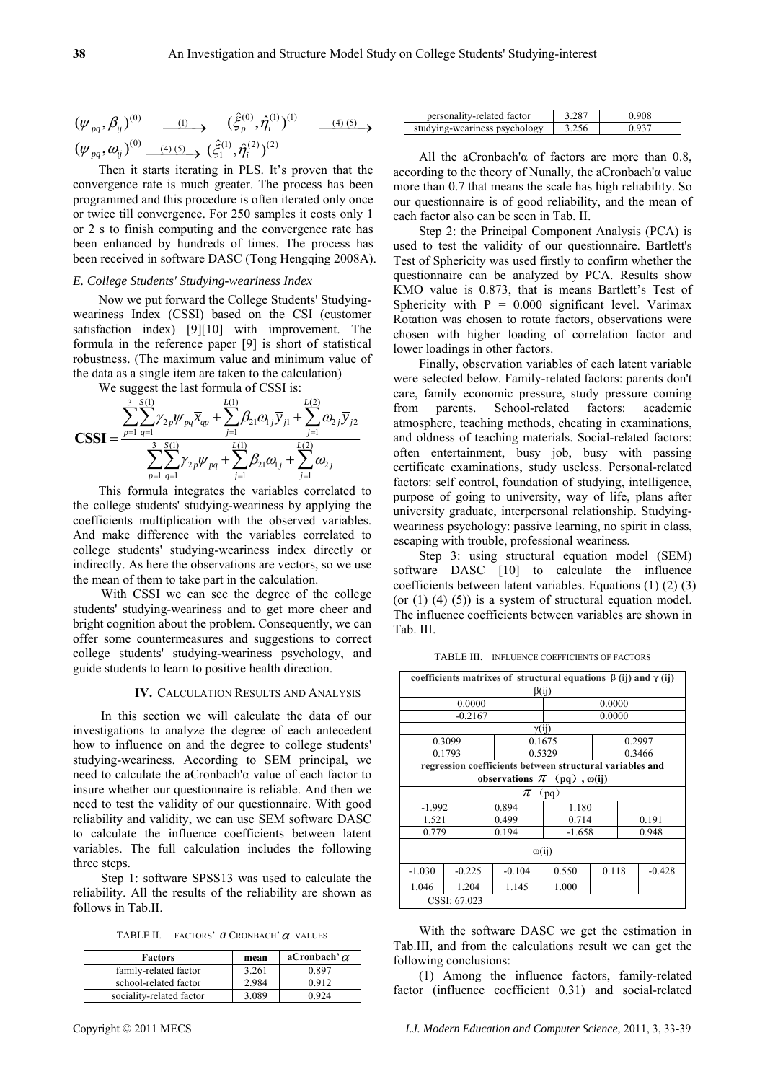$$
(\psi_{pq}, \beta_{ij})^{(0)} \xrightarrow{\qquad (1)} (\hat{\xi}_{p}^{(0)}, \hat{\eta}_{i}^{(1)})^{(1)} \xrightarrow{\qquad (4)(5)} (\psi_{pq}, \omega_{ij})^{(0)} \xrightarrow{\qquad (4)(5)} (\hat{\xi}_{1}^{(1)}, \hat{\eta}_{i}^{(2)})^{(2)}
$$

Then it starts iterating in PLS. It's proven that the convergence rate is much greater. The process has been programmed and this procedure is often iterated only once or twice till convergence. For 250 samples it costs only 1 or 2 s to finish computing and the convergence rate has been enhanced by hundreds of times. The process has been received in software DASC (Tong Hengqing 2008A).

### *E. College Students' Studying-weariness Index*

Now we put forward the College Students' Studyingweariness Index (CSSI) based on the CSI (customer satisfaction index) [9][10] with improvement. The formula in the reference paper [9] is short of statistical robustness. (The maximum value and minimum value of the data as a single item are taken to the calculation)

We suggest the last formula of CSSI is:

$$
\mathbf{CSSI} = \frac{\sum_{p=1}^{3} \sum_{q=1}^{S(1)} \gamma_{2p} \psi_{pq} \overline{x}_{qp} + \sum_{j=1}^{L(1)} \beta_{21} \omega_{1j} \overline{y}_{j1} + \sum_{j=1}^{L(2)} \omega_{2j} \overline{y}_{j2}}{\sum_{p=1}^{3} \sum_{q=1}^{S(1)} \gamma_{2p} \psi_{pq} + \sum_{j=1}^{L(1)} \beta_{21} \omega_{1j} + \sum_{j=1}^{L(2)} \omega_{2j}}
$$

This formula integrates the variables correlated to the college students' studying-weariness by applying the coefficients multiplication with the observed variables. And make difference with the variables correlated to college students' studying-weariness index directly or indirectly. As here the observations are vectors, so we use the mean of them to take part in the calculation.

With CSSI we can see the degree of the college students' studying-weariness and to get more cheer and bright cognition about the problem. Consequently, we can offer some countermeasures and suggestions to correct college students' studying-weariness psychology, and guide students to learn to positive health direction.

#### **IV.** CALCULATION RESULTS AND ANALYSIS

In this section we will calculate the data of our investigations to analyze the degree of each antecedent how to influence on and the degree to college students' studying-weariness. According to SEM principal, we need to calculate the aCronbach'α value of each factor to insure whether our questionnaire is reliable. And then we need to test the validity of our questionnaire. With good reliability and validity, we can use SEM software DASC to calculate the influence coefficients between latent variables. The full calculation includes the following three steps.

Step 1: software SPSS13 was used to calculate the reliability. All the results of the reliability are shown as follows in Tab.II.

TABLE II. FACTORS' *a* CRONBACH' *α* VALUES

| <b>Factors</b>           | mean  | aCronbach' $\alpha$ |
|--------------------------|-------|---------------------|
| family-related factor    | 3.261 | 0.897               |
| school-related factor    | 2.984 | 0.912               |
| sociality-related factor | 3.089 | 0.924               |

| personality-related factor    | 3.287 | 0.908 |
|-------------------------------|-------|-------|
| studying-weariness psychology | 3.256 | 0.937 |

All the aCronbach'α of factors are more than 0.8, according to the theory of Nunally, the aCronbach' $\alpha$  value more than 0.7 that means the scale has high reliability. So our questionnaire is of good reliability, and the mean of each factor also can be seen in Tab. II.

Step 2: the Principal Component Analysis (PCA) is used to test the validity of our questionnaire. Bartlett's Test of Sphericity was used firstly to confirm whether the questionnaire can be analyzed by PCA. Results show KMO value is 0.873, that is means Bartlett's Test of Sphericity with  $P = 0.000$  significant level. Varimax Rotation was chosen to rotate factors, observations were chosen with higher loading of correlation factor and lower loadings in other factors.

Finally, observation variables of each latent variable were selected below. Family-related factors: parents don't care, family economic pressure, study pressure coming from parents. School-related factors: academic atmosphere, teaching methods, cheating in examinations, and oldness of teaching materials. Social-related factors: often entertainment, busy job, busy with passing certificate examinations, study useless. Personal-related factors: self control, foundation of studying, intelligence, purpose of going to university, way of life, plans after university graduate, interpersonal relationship. Studyingweariness psychology: passive learning, no spirit in class, escaping with trouble, professional weariness.

Step 3: using structural equation model (SEM) software DASC [10] to calculate the influence coefficients between latent variables. Equations (1) (2) (3) (or  $(1)$   $(4)$   $(5)$ ) is a system of structural equation model. The influence coefficients between variables are shown in Tab. III.

| coefficients matrixes of structural equations $\beta$ (ij) and $\gamma$ (ij) |                  |        |                                                          |             |        |        |          |  |
|------------------------------------------------------------------------------|------------------|--------|----------------------------------------------------------|-------------|--------|--------|----------|--|
|                                                                              | $\beta(ij)$      |        |                                                          |             |        |        |          |  |
| 0.0000                                                                       |                  |        | 0.0000                                                   |             |        |        |          |  |
| $-0.2167$                                                                    |                  |        |                                                          | 0.0000      |        |        |          |  |
|                                                                              |                  |        |                                                          | $\gamma(i)$ |        |        |          |  |
|                                                                              | 0.3099<br>0.1675 |        |                                                          |             | 0.2997 |        |          |  |
|                                                                              | 0.1793           | 0.5329 |                                                          |             |        | 0.3466 |          |  |
|                                                                              |                  |        | regression coefficients between structural variables and |             |        |        |          |  |
| observations $\pi$ (pq), $\omega(ij)$                                        |                  |        |                                                          |             |        |        |          |  |
| π<br>(pq)                                                                    |                  |        |                                                          |             |        |        |          |  |
| $-1.992$                                                                     | 0.894            |        | 1.180                                                    |             |        |        |          |  |
| 1.521                                                                        |                  | 0.499  |                                                          | 0.714       |        | 0.191  |          |  |
| 0.779                                                                        |                  | 0.194  |                                                          | $-1.658$    |        | 0.948  |          |  |
| $\omega(i)$                                                                  |                  |        |                                                          |             |        |        |          |  |
| $-1.030$                                                                     | $-0.225$         |        | $-0.104$                                                 | 0.550       | 0.118  |        | $-0.428$ |  |
| 1.046                                                                        | 1.204            |        | 1.145                                                    | 1.000       |        |        |          |  |
| CSSI: 67.023                                                                 |                  |        |                                                          |             |        |        |          |  |

TABLE III. INFLUENCE COEFFICIENTS OF FACTORS

With the software DASC we get the estimation in Tab.III, and from the calculations result we can get the following conclusions:

(1) Among the influence factors, family-related factor (influence coefficient 0.31) and social-related